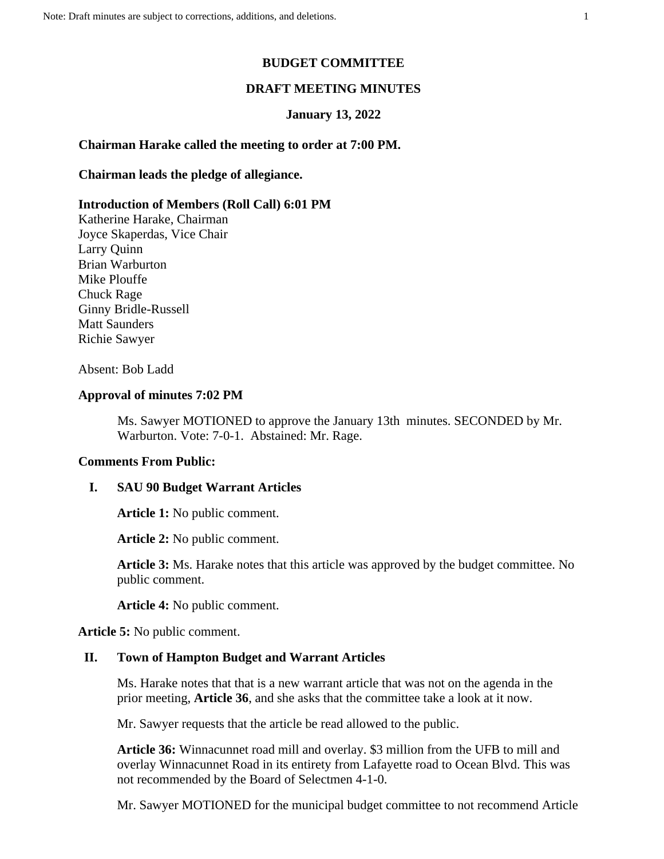### **BUDGET COMMITTEE**

## **DRAFT MEETING MINUTES**

#### **January 13, 2022**

# **Chairman Harake called the meeting to order at 7:00 PM.**

### **Chairman leads the pledge of allegiance.**

#### **Introduction of Members (Roll Call) 6:01 PM**

Katherine Harake, Chairman Joyce Skaperdas, Vice Chair Larry Quinn Brian Warburton Mike Plouffe Chuck Rage Ginny Bridle-Russell Matt Saunders Richie Sawyer

## Absent: Bob Ladd

# **Approval of minutes 7:02 PM**

Ms. Sawyer MOTIONED to approve the January 13th minutes. SECONDED by Mr. Warburton. Vote: 7-0-1. Abstained: Mr. Rage.

### **Comments From Public:**

### **I. SAU 90 Budget Warrant Articles**

**Article 1:** No public comment.

**Article 2:** No public comment.

**Article 3:** Ms. Harake notes that this article was approved by the budget committee. No public comment.

**Article 4:** No public comment.

**Article 5:** No public comment.

#### **II. Town of Hampton Budget and Warrant Articles**

Ms. Harake notes that that is a new warrant article that was not on the agenda in the prior meeting, **Article 36**, and she asks that the committee take a look at it now.

Mr. Sawyer requests that the article be read allowed to the public.

**Article 36:** Winnacunnet road mill and overlay. \$3 million from the UFB to mill and overlay Winnacunnet Road in its entirety from Lafayette road to Ocean Blvd. This was not recommended by the Board of Selectmen 4-1-0.

Mr. Sawyer MOTIONED for the municipal budget committee to not recommend Article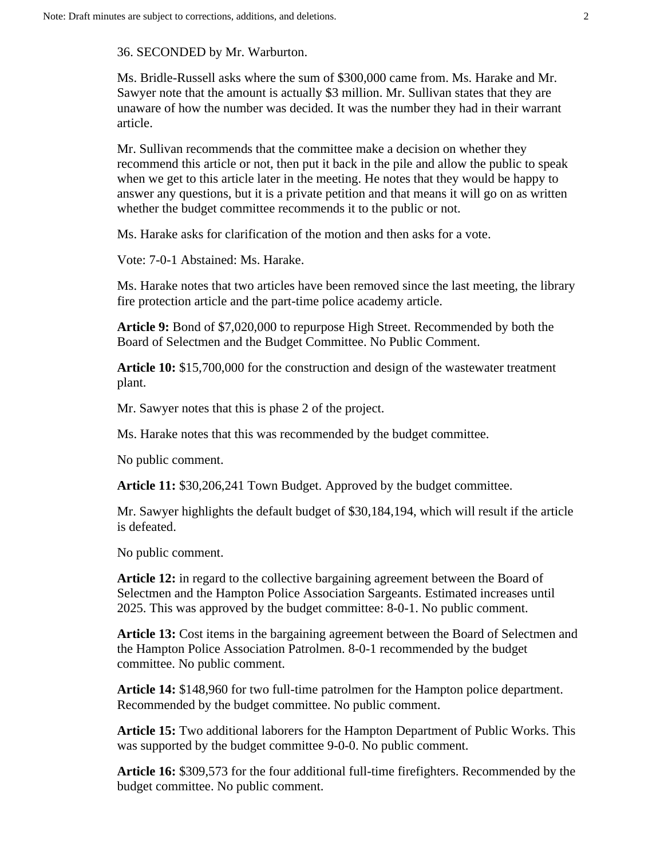36. SECONDED by Mr. Warburton.

Ms. Bridle-Russell asks where the sum of \$300,000 came from. Ms. Harake and Mr. Sawyer note that the amount is actually \$3 million. Mr. Sullivan states that they are unaware of how the number was decided. It was the number they had in their warrant article.

Mr. Sullivan recommends that the committee make a decision on whether they recommend this article or not, then put it back in the pile and allow the public to speak when we get to this article later in the meeting. He notes that they would be happy to answer any questions, but it is a private petition and that means it will go on as written whether the budget committee recommends it to the public or not.

Ms. Harake asks for clarification of the motion and then asks for a vote.

Vote: 7-0-1 Abstained: Ms. Harake.

Ms. Harake notes that two articles have been removed since the last meeting, the library fire protection article and the part-time police academy article.

**Article 9:** Bond of \$7,020,000 to repurpose High Street. Recommended by both the Board of Selectmen and the Budget Committee. No Public Comment.

**Article 10:** \$15,700,000 for the construction and design of the wastewater treatment plant.

Mr. Sawyer notes that this is phase 2 of the project.

Ms. Harake notes that this was recommended by the budget committee.

No public comment.

**Article 11:** \$30,206,241 Town Budget. Approved by the budget committee.

Mr. Sawyer highlights the default budget of \$30,184,194, which will result if the article is defeated.

No public comment.

**Article 12:** in regard to the collective bargaining agreement between the Board of Selectmen and the Hampton Police Association Sargeants. Estimated increases until 2025. This was approved by the budget committee: 8-0-1. No public comment.

**Article 13:** Cost items in the bargaining agreement between the Board of Selectmen and the Hampton Police Association Patrolmen. 8-0-1 recommended by the budget committee. No public comment.

**Article 14:** \$148,960 for two full-time patrolmen for the Hampton police department. Recommended by the budget committee. No public comment.

**Article 15:** Two additional laborers for the Hampton Department of Public Works. This was supported by the budget committee 9-0-0. No public comment.

**Article 16:** \$309,573 for the four additional full-time firefighters. Recommended by the budget committee. No public comment.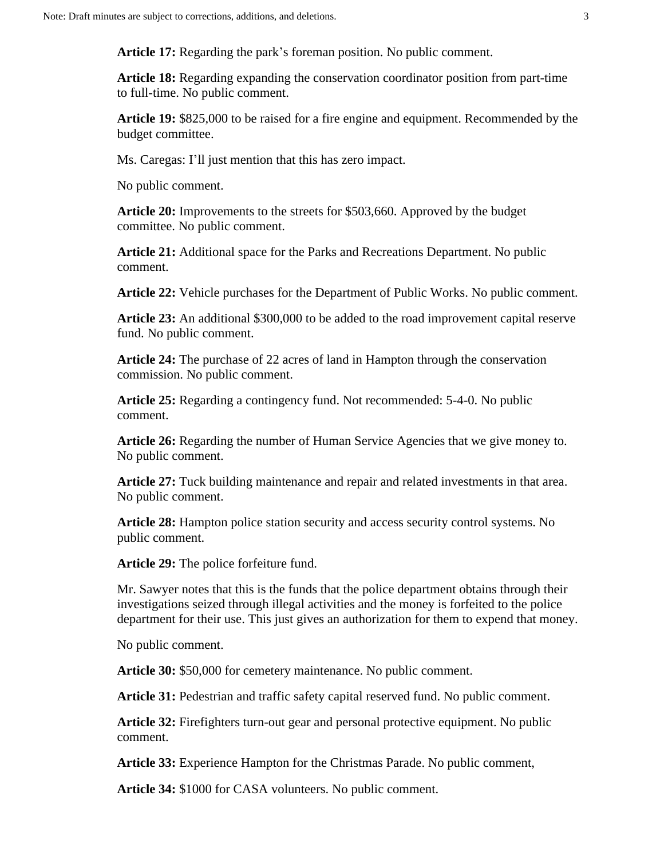**Article 17:** Regarding the park's foreman position. No public comment.

**Article 18:** Regarding expanding the conservation coordinator position from part-time to full-time. No public comment.

**Article 19:** \$825,000 to be raised for a fire engine and equipment. Recommended by the budget committee.

Ms. Caregas: I'll just mention that this has zero impact.

No public comment.

**Article 20:** Improvements to the streets for \$503,660. Approved by the budget committee. No public comment.

**Article 21:** Additional space for the Parks and Recreations Department. No public comment.

**Article 22:** Vehicle purchases for the Department of Public Works. No public comment.

**Article 23:** An additional \$300,000 to be added to the road improvement capital reserve fund. No public comment.

**Article 24:** The purchase of 22 acres of land in Hampton through the conservation commission. No public comment.

**Article 25:** Regarding a contingency fund. Not recommended: 5-4-0. No public comment.

**Article 26:** Regarding the number of Human Service Agencies that we give money to. No public comment.

**Article 27:** Tuck building maintenance and repair and related investments in that area. No public comment.

**Article 28:** Hampton police station security and access security control systems. No public comment.

**Article 29:** The police forfeiture fund.

Mr. Sawyer notes that this is the funds that the police department obtains through their investigations seized through illegal activities and the money is forfeited to the police department for their use. This just gives an authorization for them to expend that money.

No public comment.

**Article 30:** \$50,000 for cemetery maintenance. No public comment.

**Article 31:** Pedestrian and traffic safety capital reserved fund. No public comment.

**Article 32:** Firefighters turn-out gear and personal protective equipment. No public comment.

**Article 33:** Experience Hampton for the Christmas Parade. No public comment,

**Article 34:** \$1000 for CASA volunteers. No public comment.